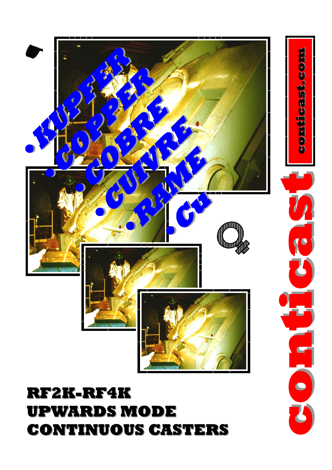## **RF2K-RF4K UPWARDS MODE UPWARDS MODE CONTINUOUS CASTERS CONTINUOUS CASTERS**



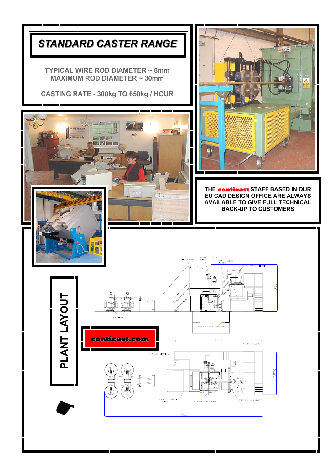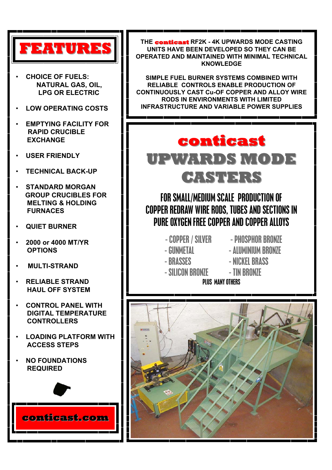

- **CHOICE OF FUELS: NATURAL GAS, OIL, LPG OR ELECTRIC**
- **LOW OPERATING COSTS**
- **EMPTYING FACILITY FOR RAPID CRUCIBLE EXCHANGE**
- **USER FRIENDLY**
- **TECHNICAL BACK-UP**
- **STANDARD MORGAN GROUP CRUCIBLES FOR MELTING & HOLDING FURNACES**
- **QUIET BURNER**
- **2000 or 4000 MT/YR OPTIONS**
- • **MULTI-STRAND**
- **RELIABLE STRAND HAUL OFF SYSTEM**
- **CONTROL PANEL WITH DIGITAL TEMPERATURE CONTROLLERS**
- **LOADING PLATFORM WITH ACCESS STEPS**
- **NO FOUNDATIONS REQUIRED**



**THE conticast conticast RF2K - 4K UPWARDS MODE CASTING UNITS HAVE BEEN DEVELOPED SO THEY CAN BE OPERATED AND MAINTAINED WITH MINIMAL TECHNICAL KNOWLEDGE** 

**SIMPLE FUEL BURNER SYSTEMS COMBINED WITH RELIABLE CONTROLS ENABLE PRODUCTION OF CONTINUOUSLY CAST Cu-OF COPPER AND ALLOY WIRE RODS IN ENVIRONMENTS WITH LIMITED INFRASTRUCTURE AND VARIABLE POWER SUPPLIES** 

## **conticast conticast UPWARDS MODE UPWARDS MODE CASTERS CASTERS**

FOR SMALL/MEDIUM SCALE PRODUCTION OF COPPER REDRAW WIRE RODS, TUBES AND SECTIONS IN PURE OXYGEN FREE COPPER AND COPPER ALLOYS

- COPPER / SILVER PHOSPHOR BRONZE
	-
- 
- 
- 
- GUNMETAL - ALUMINIUM BRONZE
- BRASSES NICKEL BRASS
- SILICON BRONZE TIN BRONZE

PLUS MANY OTHERS